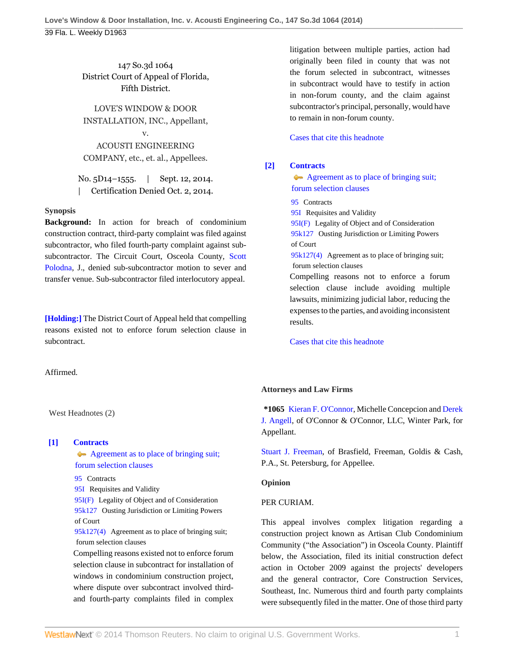147 So.3d 1064 District Court of Appeal of Florida, Fifth District.

LOVE'S WINDOW & DOOR INSTALLATION, INC., Appellant, v.

ACOUSTI ENGINEERING COMPANY, etc., et. al., Appellees.

No. 5D14–1555. | Sept. 12, 2014. | Certification Denied Oct. 2, 2014.

#### **Synopsis**

**Background:** In action for breach of condominium construction contract, third-party complaint was filed against subcontractor, who filed fourth-party complaint against subsubcontractor. The Circuit Court, Osceola County, [Scott](http://www.westlaw.com/Link/Document/FullText?findType=h&pubNum=176284&cite=0389055601&originatingDoc=Ia9ecb15a3a5511e49488c8f438320c70&refType=RQ&originationContext=document&vr=3.0&rs=cblt1.0&transitionType=DocumentItem&contextData=(sc.History*oc.MyResearchHistoryDocuments)) [Polodna,](http://www.westlaw.com/Link/Document/FullText?findType=h&pubNum=176284&cite=0389055601&originatingDoc=Ia9ecb15a3a5511e49488c8f438320c70&refType=RQ&originationContext=document&vr=3.0&rs=cblt1.0&transitionType=DocumentItem&contextData=(sc.History*oc.MyResearchHistoryDocuments)) J., denied sub-subcontractor motion to sever and transfer venue. Sub-subcontractor filed interlocutory appeal.

**[\[Holding:\]](#page-0-0)** The District Court of Appeal held that compelling reasons existed not to enforce forum selection clause in subcontract.

Affirmed.

litigation between multiple parties, action had originally been filed in county that was not the forum selected in subcontract, witnesses in subcontract would have to testify in action in non-forum county, and the claim against subcontractor's principal, personally, would have to remain in non-forum county.

#### [Cases that cite this headnote](http://www.westlaw.com/Link/RelatedInformation/DocHeadnoteLink?docGuid=Ia9ecb15a3a5511e49488c8f438320c70&headnoteId=203432038200120141112002639&originationContext=document&vr=3.0&rs=cblt1.0&transitionType=CitingReferences&contextData=(sc.History*oc.MyResearchHistoryDocuments))

## <span id="page-0-1"></span>**[\[2\]](#page-1-1) [Contracts](http://www.westlaw.com/Browse/Home/KeyNumber/95/View.html?docGuid=Ia9ecb15a3a5511e49488c8f438320c70&originationContext=document&vr=3.0&rs=cblt1.0&transitionType=DocumentItem&contextData=(sc.History*oc.MyResearchHistoryDocuments))**

Agreement as to place of bringing suit;  [forum selection clauses](http://www.westlaw.com/Browse/Home/KeyNumber/95k127(4)/View.html?docGuid=Ia9ecb15a3a5511e49488c8f438320c70&originationContext=document&vr=3.0&rs=cblt1.0&transitionType=DocumentItem&contextData=(sc.History*oc.MyResearchHistoryDocuments))

[95](http://www.westlaw.com/Browse/Home/KeyNumber/95/View.html?docGuid=Ia9ecb15a3a5511e49488c8f438320c70&originationContext=document&vr=3.0&rs=cblt1.0&transitionType=DocumentItem&contextData=(sc.History*oc.MyResearchHistoryDocuments)) Contracts

[95I](http://www.westlaw.com/Browse/Home/KeyNumber/95I/View.html?docGuid=Ia9ecb15a3a5511e49488c8f438320c70&originationContext=document&vr=3.0&rs=cblt1.0&transitionType=DocumentItem&contextData=(sc.History*oc.MyResearchHistoryDocuments)) Requisites and Validity

[95I\(F\)](http://www.westlaw.com/Browse/Home/KeyNumber/95I(F)/View.html?docGuid=Ia9ecb15a3a5511e49488c8f438320c70&originationContext=document&vr=3.0&rs=cblt1.0&transitionType=DocumentItem&contextData=(sc.History*oc.MyResearchHistoryDocuments)) Legality of Object and of Consideration [95k127](http://www.westlaw.com/Browse/Home/KeyNumber/95k127/View.html?docGuid=Ia9ecb15a3a5511e49488c8f438320c70&originationContext=document&vr=3.0&rs=cblt1.0&transitionType=DocumentItem&contextData=(sc.History*oc.MyResearchHistoryDocuments)) Ousting Jurisdiction or Limiting Powers of Court

[95k127\(4\)](http://www.westlaw.com/Browse/Home/KeyNumber/95k127(4)/View.html?docGuid=Ia9ecb15a3a5511e49488c8f438320c70&originationContext=document&vr=3.0&rs=cblt1.0&transitionType=DocumentItem&contextData=(sc.History*oc.MyResearchHistoryDocuments)) Agreement as to place of bringing suit; forum selection clauses

Compelling reasons not to enforce a forum selection clause include avoiding multiple lawsuits, minimizing judicial labor, reducing the expenses to the parties, and avoiding inconsistent results.

[Cases that cite this headnote](http://www.westlaw.com/Link/RelatedInformation/DocHeadnoteLink?docGuid=Ia9ecb15a3a5511e49488c8f438320c70&headnoteId=203432038200220141112002639&originationContext=document&vr=3.0&rs=cblt1.0&transitionType=CitingReferences&contextData=(sc.History*oc.MyResearchHistoryDocuments))

# **Attorneys and Law Firms**

**\*1065** [Kieran F. O'Connor,](http://www.westlaw.com/Link/Document/FullText?findType=h&pubNum=176284&cite=0259049101&originatingDoc=Ia9ecb15a3a5511e49488c8f438320c70&refType=RQ&originationContext=document&vr=3.0&rs=cblt1.0&transitionType=DocumentItem&contextData=(sc.History*oc.MyResearchHistoryDocuments)) Michelle Concepcion and [Derek](http://www.westlaw.com/Link/Document/FullText?findType=h&pubNum=176284&cite=0449814601&originatingDoc=Ia9ecb15a3a5511e49488c8f438320c70&refType=RQ&originationContext=document&vr=3.0&rs=cblt1.0&transitionType=DocumentItem&contextData=(sc.History*oc.MyResearchHistoryDocuments)) [J. Angell,](http://www.westlaw.com/Link/Document/FullText?findType=h&pubNum=176284&cite=0449814601&originatingDoc=Ia9ecb15a3a5511e49488c8f438320c70&refType=RQ&originationContext=document&vr=3.0&rs=cblt1.0&transitionType=DocumentItem&contextData=(sc.History*oc.MyResearchHistoryDocuments)) of O'Connor & O'Connor, LLC, Winter Park, for Appellant.

[Stuart J. Freeman,](http://www.westlaw.com/Link/Document/FullText?findType=h&pubNum=176284&cite=0122065601&originatingDoc=Ia9ecb15a3a5511e49488c8f438320c70&refType=RQ&originationContext=document&vr=3.0&rs=cblt1.0&transitionType=DocumentItem&contextData=(sc.History*oc.MyResearchHistoryDocuments)) of Brasfield, Freeman, Goldis & Cash, P.A., St. Petersburg, for Appellee.

### **Opinion**

### PER CURIAM.

This appeal involves complex litigation regarding a construction project known as Artisan Club Condominium Community ("the Association") in Osceola County. Plaintiff below, the Association, filed its initial construction defect action in October 2009 against the projects' developers and the general contractor, Core Construction Services, Southeast, Inc. Numerous third and fourth party complaints were subsequently filed in the matter. One of those third party

West Headnotes (2)

## <span id="page-0-0"></span>**[\[1\]](#page-1-0) [Contracts](http://www.westlaw.com/Browse/Home/KeyNumber/95/View.html?docGuid=Ia9ecb15a3a5511e49488c8f438320c70&originationContext=document&vr=3.0&rs=cblt1.0&transitionType=DocumentItem&contextData=(sc.History*oc.MyResearchHistoryDocuments))**

Agreement as to place of bringing suit;  [forum selection clauses](http://www.westlaw.com/Browse/Home/KeyNumber/95k127(4)/View.html?docGuid=Ia9ecb15a3a5511e49488c8f438320c70&originationContext=document&vr=3.0&rs=cblt1.0&transitionType=DocumentItem&contextData=(sc.History*oc.MyResearchHistoryDocuments))

[95](http://www.westlaw.com/Browse/Home/KeyNumber/95/View.html?docGuid=Ia9ecb15a3a5511e49488c8f438320c70&originationContext=document&vr=3.0&rs=cblt1.0&transitionType=DocumentItem&contextData=(sc.History*oc.MyResearchHistoryDocuments)) Contracts

[95I](http://www.westlaw.com/Browse/Home/KeyNumber/95I/View.html?docGuid=Ia9ecb15a3a5511e49488c8f438320c70&originationContext=document&vr=3.0&rs=cblt1.0&transitionType=DocumentItem&contextData=(sc.History*oc.MyResearchHistoryDocuments)) Requisites and Validity

[95I\(F\)](http://www.westlaw.com/Browse/Home/KeyNumber/95I(F)/View.html?docGuid=Ia9ecb15a3a5511e49488c8f438320c70&originationContext=document&vr=3.0&rs=cblt1.0&transitionType=DocumentItem&contextData=(sc.History*oc.MyResearchHistoryDocuments)) Legality of Object and of Consideration [95k127](http://www.westlaw.com/Browse/Home/KeyNumber/95k127/View.html?docGuid=Ia9ecb15a3a5511e49488c8f438320c70&originationContext=document&vr=3.0&rs=cblt1.0&transitionType=DocumentItem&contextData=(sc.History*oc.MyResearchHistoryDocuments)) Ousting Jurisdiction or Limiting Powers of Court

[95k127\(4\)](http://www.westlaw.com/Browse/Home/KeyNumber/95k127(4)/View.html?docGuid=Ia9ecb15a3a5511e49488c8f438320c70&originationContext=document&vr=3.0&rs=cblt1.0&transitionType=DocumentItem&contextData=(sc.History*oc.MyResearchHistoryDocuments)) Agreement as to place of bringing suit; forum selection clauses

Compelling reasons existed not to enforce forum selection clause in subcontract for installation of windows in condominium construction project, where dispute over subcontract involved thirdand fourth-party complaints filed in complex